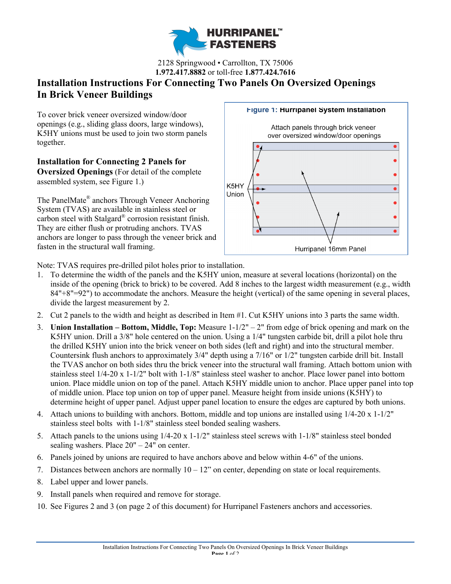

2128 Springwood • Carrollton, TX 75006 **1.972.417.8882** or toll-free **1.877.424.7616**

# **Installation Instructions For Connecting Two Panels On Oversized Openings In Brick Veneer Buildings**

To cover brick veneer oversized window/door openings (e.g., sliding glass doors, large windows), K5HY unions must be used to join two storm panels together.

**Installation for Connecting 2 Panels for Oversized Openings** (For detail of the complete assembled system, see Figure 1.)

The PanelMate® anchors Through Veneer Anchoring System (TVAS) are available in stainless steel or carbon steel with Stalgard® corrosion resistant finish. They are either flush or protruding anchors. TVAS anchors are longer to pass through the veneer brick and fasten in the structural wall framing.

#### **Figure 1: Hurripanel System Installation**





Note: TVAS requires pre-drilled pilot holes prior to installation.

- 1. To determine the width of the panels and the K5HY union, measure at several locations (horizontal) on the inside of the opening (brick to brick) to be covered. Add 8 inches to the largest width measurement (e.g., width 84"+8"=92") to accommodate the anchors. Measure the height (vertical) of the same opening in several places, divide the largest measurement by 2.
- 2. Cut 2 panels to the width and height as described in Item #1. Cut K5HY unions into 3 parts the same width.
- 3. **Union Installation Bottom, Middle, Top:** Measure 1-1/2" 2" from edge of brick opening and mark on the K5HY union. Drill a 3/8" hole centered on the union. Using a 1/4" tungsten carbide bit, drill a pilot hole thru the drilled K5HY union into the brick veneer on both sides (left and right) and into the structural member. Countersink flush anchors to approximately 3/4" depth using a 7/16" or 1/2" tungsten carbide drill bit. Install the TVAS anchor on both sides thru the brick veneer into the structural wall framing. Attach bottom union with stainless steel 1/4-20 x 1-1/2" bolt with 1-1/8" stainless steel washer to anchor. Place lower panel into bottom union. Place middle union on top of the panel. Attach K5HY middle union to anchor. Place upper panel into top of middle union. Place top union on top of upper panel. Measure height from inside unions (K5HY) to determine height of upper panel. Adjust upper panel location to ensure the edges are captured by both unions.
- 4. Attach unions to building with anchors. Bottom, middle and top unions are installed using 1/4-20 x 1-1/2" stainless steel bolts with 1-1/8" stainless steel bonded sealing washers.
- 5. Attach panels to the unions using 1/4-20 x 1-1/2" stainless steel screws with 1-1/8" stainless steel bonded sealing washers. Place 20" – 24" on center.
- 6. Panels joined by unions are required to have anchors above and below within 4-6" of the unions.
- 7. Distances between anchors are normally  $10 12$ " on center, depending on state or local requirements.
- 8. Label upper and lower panels.
- 9. Install panels when required and remove for storage.
- 10. See Figures 2 and 3 (on page 2 of this document) for Hurripanel Fasteners anchors and accessories.